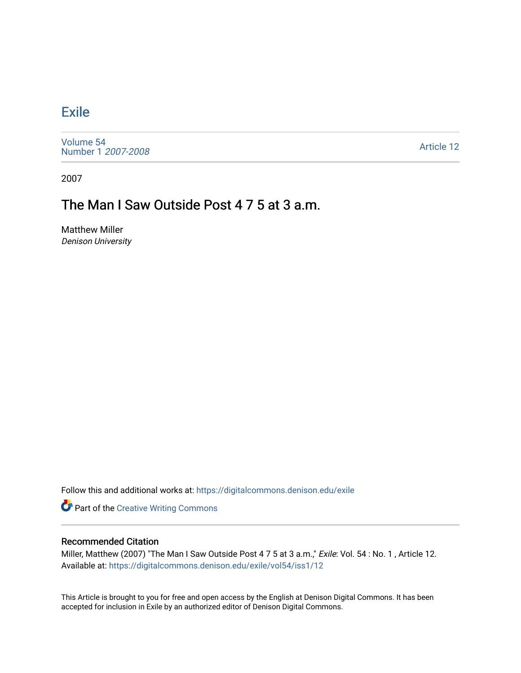## **[Exile](https://digitalcommons.denison.edu/exile)**

[Volume 54](https://digitalcommons.denison.edu/exile/vol54) [Number 1](https://digitalcommons.denison.edu/exile/vol54/iss1) 2007-2008

[Article 12](https://digitalcommons.denison.edu/exile/vol54/iss1/12) 

2007

## The Man I Saw Outside Post 4 7 5 at 3 a.m.

Matthew Miller Denison University

Follow this and additional works at: [https://digitalcommons.denison.edu/exile](https://digitalcommons.denison.edu/exile?utm_source=digitalcommons.denison.edu%2Fexile%2Fvol54%2Fiss1%2F12&utm_medium=PDF&utm_campaign=PDFCoverPages) 

**Part of the Creative Writing Commons** 

## Recommended Citation

Miller, Matthew (2007) "The Man I Saw Outside Post 4 7 5 at 3 a.m.," Exile: Vol. 54 : No. 1, Article 12. Available at: [https://digitalcommons.denison.edu/exile/vol54/iss1/12](https://digitalcommons.denison.edu/exile/vol54/iss1/12?utm_source=digitalcommons.denison.edu%2Fexile%2Fvol54%2Fiss1%2F12&utm_medium=PDF&utm_campaign=PDFCoverPages)

This Article is brought to you for free and open access by the English at Denison Digital Commons. It has been accepted for inclusion in Exile by an authorized editor of Denison Digital Commons.